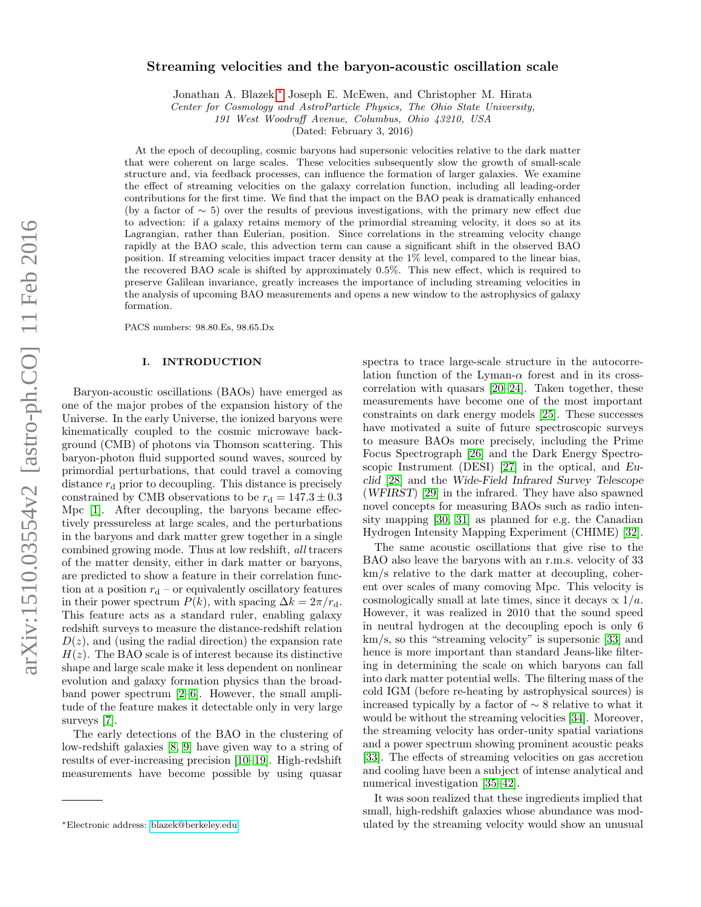# Streaming velocities and the baryon-acoustic oscillation scale

Jonathan A. Blazek,[∗](#page-0-0) Joseph E. McEwen, and Christopher M. Hirata

Center for Cosmology and AstroParticle Physics, The Ohio State University,

191 West Woodruff Avenue, Columbus, Ohio 43210, USA

(Dated: February 3, 2016)

At the epoch of decoupling, cosmic baryons had supersonic velocities relative to the dark matter that were coherent on large scales. These velocities subsequently slow the growth of small-scale structure and, via feedback processes, can influence the formation of larger galaxies. We examine the effect of streaming velocities on the galaxy correlation function, including all leading-order contributions for the first time. We find that the impact on the BAO peak is dramatically enhanced (by a factor of  $\sim$  5) over the results of previous investigations, with the primary new effect due to advection: if a galaxy retains memory of the primordial streaming velocity, it does so at its Lagrangian, rather than Eulerian, position. Since correlations in the streaming velocity change rapidly at the BAO scale, this advection term can cause a significant shift in the observed BAO position. If streaming velocities impact tracer density at the 1% level, compared to the linear bias, the recovered BAO scale is shifted by approximately 0.5%. This new effect, which is required to preserve Galilean invariance, greatly increases the importance of including streaming velocities in the analysis of upcoming BAO measurements and opens a new window to the astrophysics of galaxy formation.

PACS numbers: 98.80.Es, 98.65.Dx

#### I. INTRODUCTION

Baryon-acoustic oscillations (BAOs) have emerged as one of the major probes of the expansion history of the Universe. In the early Universe, the ionized baryons were kinematically coupled to the cosmic microwave background (CMB) of photons via Thomson scattering. This baryon-photon fluid supported sound waves, sourced by primordial perturbations, that could travel a comoving distance  $r_d$  prior to decoupling. This distance is precisely constrained by CMB observations to be  $r_d = 147.3 \pm 0.3$ Mpc [\[1\]](#page-4-0). After decoupling, the baryons became effectively pressureless at large scales, and the perturbations in the baryons and dark matter grew together in a single combined growing mode. Thus at low redshift, all tracers of the matter density, either in dark matter or baryons, are predicted to show a feature in their correlation function at a position  $r_d$  – or equivalently oscillatory features in their power spectrum  $P(k)$ , with spacing  $\Delta k = 2\pi/r_d$ . This feature acts as a standard ruler, enabling galaxy redshift surveys to measure the distance-redshift relation  $D(z)$ , and (using the radial direction) the expansion rate  $H(z)$ . The BAO scale is of interest because its distinctive shape and large scale make it less dependent on nonlinear evolution and galaxy formation physics than the broadband power spectrum [\[2](#page-4-1)[–6\]](#page-4-2). However, the small amplitude of the feature makes it detectable only in very large surveys [\[7\]](#page-4-3).

The early detections of the BAO in the clustering of low-redshift galaxies [\[8,](#page-4-4) [9\]](#page-4-5) have given way to a string of results of ever-increasing precision [\[10](#page-4-6)[–19\]](#page-5-0). High-redshift measurements have become possible by using quasar

spectra to trace large-scale structure in the autocorrelation function of the Lyman- $\alpha$  forest and in its crosscorrelation with quasars [\[20–](#page-5-1)[24\]](#page-5-2). Taken together, these measurements have become one of the most important constraints on dark energy models [\[25\]](#page-5-3). These successes have motivated a suite of future spectroscopic surveys to measure BAOs more precisely, including the Prime Focus Spectrograph [\[26\]](#page-5-4) and the Dark Energy Spectroscopic Instrument (DESI) [\[27\]](#page-5-5) in the optical, and Euclid [\[28\]](#page-5-6) and the Wide-Field Infrared Survey Telescope (WFIRST) [\[29\]](#page-5-7) in the infrared. They have also spawned novel concepts for measuring BAOs such as radio intensity mapping [\[30,](#page-5-8) [31\]](#page-5-9) as planned for e.g. the Canadian Hydrogen Intensity Mapping Experiment (CHIME) [\[32\]](#page-5-10).

The same acoustic oscillations that give rise to the BAO also leave the baryons with an r.m.s. velocity of 33 km/s relative to the dark matter at decoupling, coherent over scales of many comoving Mpc. This velocity is cosmologically small at late times, since it decays  $\propto 1/a$ . However, it was realized in 2010 that the sound speed in neutral hydrogen at the decoupling epoch is only 6 km/s, so this "streaming velocity" is supersonic [\[33\]](#page-5-11) and hence is more important than standard Jeans-like filtering in determining the scale on which baryons can fall into dark matter potential wells. The filtering mass of the cold IGM (before re-heating by astrophysical sources) is increased typically by a factor of ∼ 8 relative to what it would be without the streaming velocities [\[34\]](#page-5-12). Moreover, the streaming velocity has order-unity spatial variations and a power spectrum showing prominent acoustic peaks [\[33\]](#page-5-11). The effects of streaming velocities on gas accretion and cooling have been a subject of intense analytical and numerical investigation [\[35–](#page-5-13)[42\]](#page-5-14).

It was soon realized that these ingredients implied that small, high-redshift galaxies whose abundance was modulated by the streaming velocity would show an unusual

<span id="page-0-0"></span><sup>∗</sup>Electronic address: [blazek@berkeley.edu](mailto:blazek@berkeley.edu)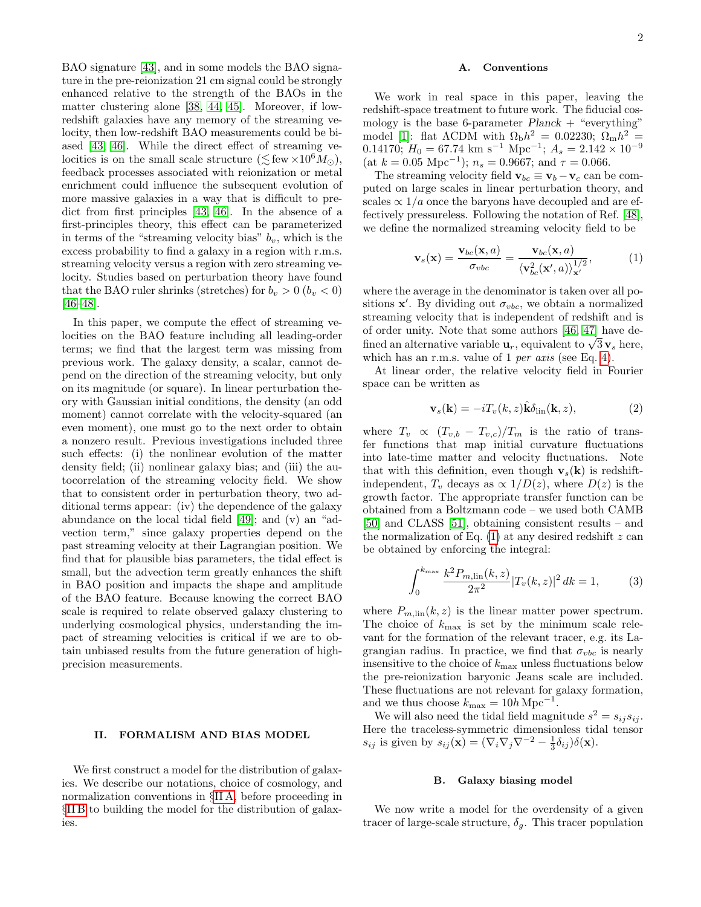BAO signature [\[43\]](#page-5-15), and in some models the BAO signature in the pre-reionization 21 cm signal could be strongly enhanced relative to the strength of the BAOs in the matter clustering alone [\[38,](#page-5-16) [44,](#page-5-17) [45\]](#page-5-18). Moreover, if lowredshift galaxies have any memory of the streaming velocity, then low-redshift BAO measurements could be biased [\[43,](#page-5-15) [46\]](#page-5-19). While the direct effect of streaming velocities is on the small scale structure ( $\leq$  few  $\times 10^6 M_{\odot}$ ), feedback processes associated with reionization or metal enrichment could influence the subsequent evolution of more massive galaxies in a way that is difficult to predict from first principles [\[43,](#page-5-15) [46\]](#page-5-19). In the absence of a first-principles theory, this effect can be parameterized in terms of the "streaming velocity bias"  $b_v$ , which is the excess probability to find a galaxy in a region with r.m.s. streaming velocity versus a region with zero streaming velocity. Studies based on perturbation theory have found that the BAO ruler shrinks (stretches) for  $b_v > 0$   $(b_v < 0)$ [\[46–](#page-5-19)[48\]](#page-5-20).

In this paper, we compute the effect of streaming velocities on the BAO feature including all leading-order terms; we find that the largest term was missing from previous work. The galaxy density, a scalar, cannot depend on the direction of the streaming velocity, but only on its magnitude (or square). In linear perturbation theory with Gaussian initial conditions, the density (an odd moment) cannot correlate with the velocity-squared (an even moment), one must go to the next order to obtain a nonzero result. Previous investigations included three such effects: (i) the nonlinear evolution of the matter density field; (ii) nonlinear galaxy bias; and (iii) the autocorrelation of the streaming velocity field. We show that to consistent order in perturbation theory, two additional terms appear: (iv) the dependence of the galaxy abundance on the local tidal field [\[49\]](#page-5-21); and (v) an "advection term," since galaxy properties depend on the past streaming velocity at their Lagrangian position. We find that for plausible bias parameters, the tidal effect is small, but the advection term greatly enhances the shift in BAO position and impacts the shape and amplitude of the BAO feature. Because knowing the correct BAO scale is required to relate observed galaxy clustering to underlying cosmological physics, understanding the impact of streaming velocities is critical if we are to obtain unbiased results from the future generation of highprecision measurements.

## II. FORMALISM AND BIAS MODEL

We first construct a model for the distribution of galaxies. We describe our notations, choice of cosmology, and normalization conventions in §[II A,](#page-1-0) before proceeding in §[II B](#page-1-1) to building the model for the distribution of galaxies.

### <span id="page-1-0"></span>A. Conventions

We work in real space in this paper, leaving the redshift-space treatment to future work. The fiducial cosmology is the base 6-parameter  $Planck + "everything"$ model [\[1\]](#page-4-0): flat  $\Lambda$ CDM with  $\Omega_{\rm b}h^2 = 0.02230; \ \Omega_{\rm m}h^2 =$ 0.14170;  $H_0 = 67.74$  km s<sup>-1</sup> Mpc<sup>-1</sup>;  $A_s = 2.142 \times 10^{-9}$ (at  $k = 0.05$  Mpc<sup>-1</sup>);  $n_s = 0.9667$ ; and  $\tau = 0.066$ .

The streaming velocity field  $\mathbf{v}_{bc} \equiv \mathbf{v}_b - \mathbf{v}_c$  can be computed on large scales in linear perturbation theory, and scales  $\propto 1/a$  once the baryons have decoupled and are effectively pressureless. Following the notation of Ref. [\[48\]](#page-5-20), we define the normalized streaming velocity field to be

<span id="page-1-2"></span>
$$
\mathbf{v}_s(\mathbf{x}) = \frac{\mathbf{v}_{bc}(\mathbf{x}, a)}{\sigma_{vbc}} = \frac{\mathbf{v}_{bc}(\mathbf{x}, a)}{\langle \mathbf{v}_{bc}^2(\mathbf{x}', a) \rangle_{\mathbf{x}'}^{1/2}},\tag{1}
$$

where the average in the denominator is taken over all positions  $\mathbf{x}'$ . By dividing out  $\sigma_{vbc}$ , we obtain a normalized streaming velocity that is independent of redshift and is of order unity. Note that some authors [\[46,](#page-5-19) [47\]](#page-5-22) have deor order unity. Note that some authors  $[40, 41]$  have de-<br>fined an alternative variable  $\mathbf{u}_r$ , equivalent to  $\sqrt{3} \mathbf{v}_s$  here, which has an r.m.s. value of 1 per axis (see Eq. [4\)](#page-2-0).

At linear order, the relative velocity field in Fourier space can be written as

$$
\mathbf{v}_s(\mathbf{k}) = -i T_v(k, z) \hat{\mathbf{k}} \delta_{\text{lin}}(\mathbf{k}, z), \tag{2}
$$

where  $T_v \propto (T_{v,b} - T_{v,c})/T_m$  is the ratio of transfer functions that map initial curvature fluctuations into late-time matter and velocity fluctuations. Note that with this definition, even though  $v_s(k)$  is redshiftindependent,  $T_v$  decays as  $\propto 1/D(z)$ , where  $D(z)$  is the growth factor. The appropriate transfer function can be obtained from a Boltzmann code – we used both CAMB [\[50\]](#page-5-23) and CLASS [\[51\]](#page-5-24), obtaining consistent results – and the normalization of Eq.  $(1)$  at any desired redshift z can be obtained by enforcing the integral:

$$
\int_0^{k_{\text{max}}} \frac{k^2 P_{m,\text{lin}}(k,z)}{2\pi^2} |T_v(k,z)|^2 \, dk = 1,\tag{3}
$$

where  $P_{m,\text{lin}}(k, z)$  is the linear matter power spectrum. The choice of  $k_{\text{max}}$  is set by the minimum scale relevant for the formation of the relevant tracer, e.g. its Lagrangian radius. In practice, we find that  $\sigma_{vbc}$  is nearly insensitive to the choice of  $k_{\text{max}}$  unless fluctuations below the pre-reionization baryonic Jeans scale are included. These fluctuations are not relevant for galaxy formation, and we thus choose  $k_{\text{max}} = 10h \text{ Mpc}^{-1}$ .

We will also need the tidal field magnitude  $s^2 = s_{ij} s_{ij}$ . Here the traceless-symmetric dimensionless tidal tensor  $s_{ij}$  is given by  $s_{ij}(\mathbf{x}) = (\nabla_i \nabla_j \nabla^{-2} - \frac{1}{3} \delta_{ij}) \delta(\mathbf{x}).$ 

### <span id="page-1-1"></span>B. Galaxy biasing model

We now write a model for the overdensity of a given tracer of large-scale structure,  $\delta_g$ . This tracer population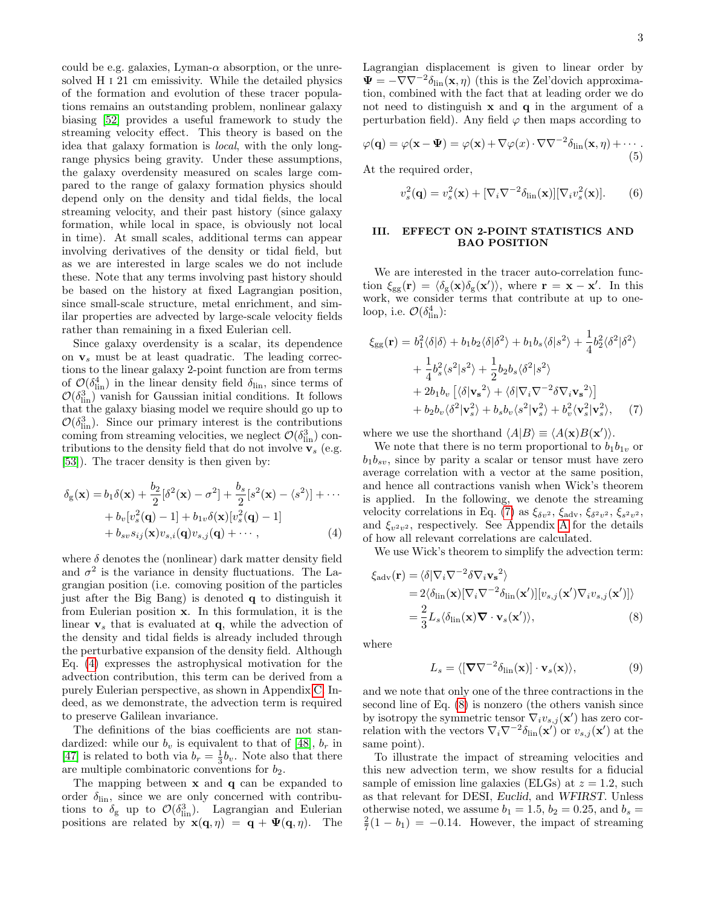could be e.g. galaxies, Lyman- $\alpha$  absorption, or the unresolved H i 21 cm emissivity. While the detailed physics of the formation and evolution of these tracer populations remains an outstanding problem, nonlinear galaxy biasing [\[52\]](#page-5-25) provides a useful framework to study the streaming velocity effect. This theory is based on the idea that galaxy formation is local, with the only longrange physics being gravity. Under these assumptions, the galaxy overdensity measured on scales large compared to the range of galaxy formation physics should depend only on the density and tidal fields, the local streaming velocity, and their past history (since galaxy formation, while local in space, is obviously not local in time). At small scales, additional terms can appear involving derivatives of the density or tidal field, but as we are interested in large scales we do not include these. Note that any terms involving past history should be based on the history at fixed Lagrangian position, since small-scale structure, metal enrichment, and similar properties are advected by large-scale velocity fields rather than remaining in a fixed Eulerian cell.

Since galaxy overdensity is a scalar, its dependence on  $v_s$  must be at least quadratic. The leading corrections to the linear galaxy 2-point function are from terms of  $\mathcal{O}(\delta_{\text{lin}}^4)$  in the linear density field  $\delta_{\text{lin}}$ , since terms of  $\mathcal{O}(\delta_{\text{lin}}^3)$  vanish for Gaussian initial conditions. It follows that the galaxy biasing model we require should go up to  $\mathcal{O}(\delta_{\text{lin}}^3)$ . Since our primary interest is the contributions coming from streaming velocities, we neglect  $\mathcal{O}(\delta_{\textrm{lin}}^3)$  contributions to the density field that do not involve  $v_s$  (e.g. [\[53\]](#page-5-26)). The tracer density is then given by:

$$
\delta_{g}(\mathbf{x}) = b_{1}\delta(\mathbf{x}) + \frac{b_{2}}{2}[\delta^{2}(\mathbf{x}) - \sigma^{2}] + \frac{b_{s}}{2}[s^{2}(\mathbf{x}) - \langle s^{2} \rangle] + \cdots
$$
  
+ 
$$
b_{v}[v_{s}^{2}(\mathbf{q}) - 1] + b_{1v}\delta(\mathbf{x})[v_{s}^{2}(\mathbf{q}) - 1]
$$
  
+ 
$$
b_{sv}s_{ij}(\mathbf{x})v_{s,i}(\mathbf{q})v_{s,j}(\mathbf{q}) + \cdots,
$$
 (4)

where  $\delta$  denotes the (nonlinear) dark matter density field and  $\sigma^2$  is the variance in density fluctuations. The Lagrangian position (i.e. comoving position of the particles just after the Big Bang) is denoted q to distinguish it from Eulerian position x. In this formulation, it is the linear  $v_s$  that is evaluated at  $q$ , while the advection of the density and tidal fields is already included through the perturbative expansion of the density field. Although Eq. [\(4\)](#page-2-0) expresses the astrophysical motivation for the advection contribution, this term can be derived from a purely Eulerian perspective, as shown in Appendix [C.](#page-7-0) Indeed, as we demonstrate, the advection term is required to preserve Galilean invariance.

The definitions of the bias coefficients are not standardized: while our  $b_v$  is equivalent to that of [\[48\]](#page-5-20),  $b_r$  in [\[47\]](#page-5-22) is related to both via  $b_r = \frac{1}{3}b_v$ . Note also that there are multiple combinatoric conventions for  $b_2$ .

The mapping between x and q can be expanded to order  $\delta_{\text{lin}}$ , since we are only concerned with contributions to  $\delta_{\rm g}$  up to  $\mathcal{O}(\delta_{\rm lin}^3)$ . Lagrangian and Eulerian positions are related by  $\mathbf{x}(\mathbf{q}, \eta) = \mathbf{q} + \mathbf{\Psi}(\mathbf{q}, \eta)$ . The Lagrangian displacement is given to linear order by  $\Psi = -\nabla \nabla^{-2} \delta_{\text{lin}}(\mathbf{x}, \eta)$  (this is the Zel'dovich approximation, combined with the fact that at leading order we do not need to distinguish  $x$  and  $q$  in the argument of a perturbation field). Any field  $\varphi$  then maps according to

$$
\varphi(\mathbf{q}) = \varphi(\mathbf{x} - \mathbf{\Psi}) = \varphi(\mathbf{x}) + \nabla\varphi(x) \cdot \nabla\nabla^{-2} \delta_{\text{lin}}(\mathbf{x}, \eta) + \cdots
$$
\n(5)

At the required order,

<span id="page-2-4"></span>
$$
v_s^2(\mathbf{q}) = v_s^2(\mathbf{x}) + [\nabla_i \nabla^{-2} \delta_{\rm lin}(\mathbf{x})] [\nabla_i v_s^2(\mathbf{x})]. \tag{6}
$$

# III. EFFECT ON 2-POINT STATISTICS AND BAO POSITION

We are interested in the tracer auto-correlation function  $\xi_{gg}(\mathbf{r}) = \langle \delta_g(\mathbf{x}) \delta_g(\mathbf{x'}) \rangle$ , where  $\mathbf{r} = \mathbf{x} - \mathbf{x'}$ . In this work, we consider terms that contribute at up to oneloop, i.e.  $\mathcal{O}(\delta_{\textrm{lin}}^4)$ :

$$
\xi_{gg}(\mathbf{r}) = b_1^2 \langle \delta | \delta \rangle + b_1 b_2 \langle \delta | \delta^2 \rangle + b_1 b_s \langle \delta | s^2 \rangle + \frac{1}{4} b_2^2 \langle \delta^2 | \delta^2 \rangle \n+ \frac{1}{4} b_s^2 \langle s^2 | s^2 \rangle + \frac{1}{2} b_2 b_s \langle \delta^2 | s^2 \rangle \n+ 2b_1 b_v \left[ \langle \delta | \mathbf{v_s}^2 \rangle + \langle \delta | \nabla_i \nabla^{-2} \delta \nabla_i \mathbf{v_s}^2 \rangle \right] \n+ b_2 b_v \langle \delta^2 | \mathbf{v_s}^2 \rangle + b_s b_v \langle s^2 | \mathbf{v_s}^2 \rangle + b_v^2 \langle \mathbf{v_s}^2 | \mathbf{v_s}^2 \rangle, \tag{7}
$$

<span id="page-2-1"></span>where we use the shorthand  $\langle A|B \rangle \equiv \langle A(\mathbf{x})B(\mathbf{x}') \rangle$ .

We note that there is no term proportional to  $b_1b_{1v}$  or  $b_1b_{sv}$ , since by parity a scalar or tensor must have zero average correlation with a vector at the same position, and hence all contractions vanish when Wick's theorem is applied. In the following, we denote the streaming velocity correlations in Eq. [\(7\)](#page-2-1) as  $\xi_{\delta v^2}$ ,  $\xi_{\text{adv}}$ ,  $\xi_{\delta^2 v^2}$ ,  $\xi_{s^2 v^2}$ , and  $\xi_{v^2v^2}$ , respectively. See [A](#page-6-0)ppendix A for the details of how all relevant correlations are calculated.

<span id="page-2-0"></span>We use Wick's theorem to simplify the advection term:

$$
\xi_{\text{adv}}(\mathbf{r}) = \langle \delta | \nabla_i \nabla^{-2} \delta \nabla_i \mathbf{v_s}^2 \rangle
$$
  
= 2\langle \delta\_{\text{lin}}(\mathbf{x}) [\nabla\_i \nabla^{-2} \delta\_{\text{lin}}(\mathbf{x}')] [v\_{s,j}(\mathbf{x}') \nabla\_i v\_{s,j}(\mathbf{x}')] \rangle  
= \frac{2}{3} L\_s \langle \delta\_{\text{lin}}(\mathbf{x}) \nabla \cdot \mathbf{v\_s}(\mathbf{x}') \rangle, \tag{8}

where

<span id="page-2-3"></span><span id="page-2-2"></span>
$$
L_s = \langle [\mathbf{\nabla} \nabla^{-2} \delta_{\rm lin}(\mathbf{x})] \cdot \mathbf{v}_s(\mathbf{x}) \rangle, \tag{9}
$$

and we note that only one of the three contractions in the second line of Eq. [\(8\)](#page-2-2) is nonzero (the others vanish since by isotropy the symmetric tensor  $\nabla_i v_{s,j}(\mathbf{x}')$  has zero correlation with the vectors  $\nabla_i \nabla^{-2} \delta_{\text{lin}}(\mathbf{x}')$  or  $v_{s,j}(\mathbf{x}')$  at the same point).

To illustrate the impact of streaming velocities and this new advection term, we show results for a fiducial sample of emission line galaxies (ELGs) at  $z = 1.2$ , such as that relevant for DESI, Euclid, and WFIRST. Unless otherwise noted, we assume  $b_1 = 1.5$ ,  $b_2 = 0.25$ , and  $b_s =$  $\frac{2}{7}(1-b_1) = -0.14$ . However, the impact of streaming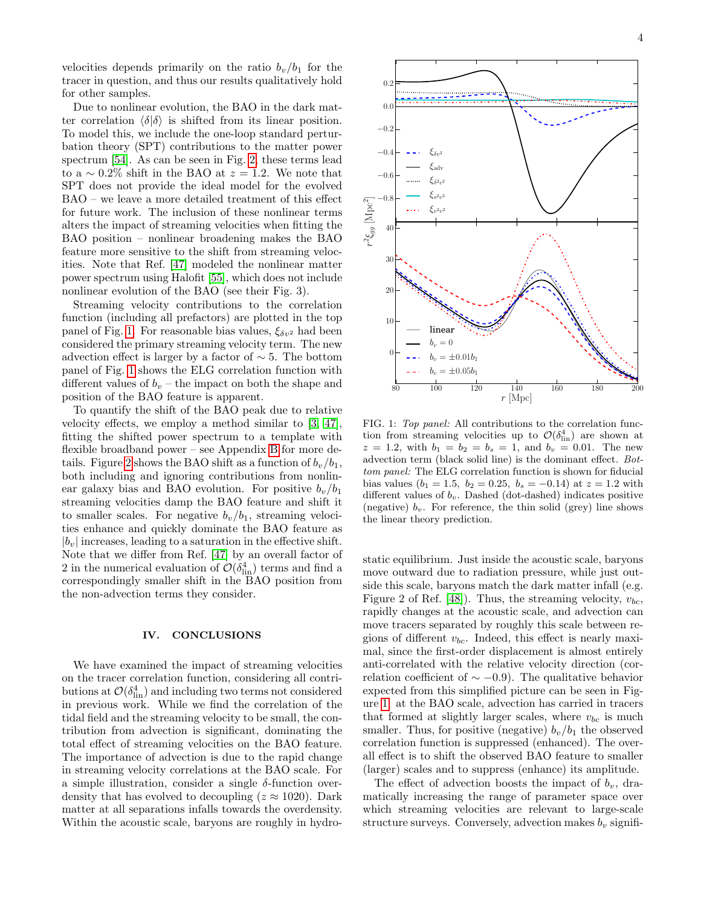velocities depends primarily on the ratio  $b_v/b_1$  for the tracer in question, and thus our results qualitatively hold for other samples.

Due to nonlinear evolution, the BAO in the dark matter correlation  $\langle \delta | \delta \rangle$  is shifted from its linear position. To model this, we include the one-loop standard perturbation theory (SPT) contributions to the matter power spectrum [\[54\]](#page-5-27). As can be seen in Fig. [2,](#page-4-7) these terms lead to a  $\sim 0.2\%$  shift in the BAO at  $z = 1.2$ . We note that SPT does not provide the ideal model for the evolved BAO – we leave a more detailed treatment of this effect for future work. The inclusion of these nonlinear terms alters the impact of streaming velocities when fitting the BAO position – nonlinear broadening makes the BAO feature more sensitive to the shift from streaming velocities. Note that Ref. [\[47\]](#page-5-22) modeled the nonlinear matter power spectrum using Halofit [\[55\]](#page-5-28), which does not include nonlinear evolution of the BAO (see their Fig. 3).

Streaming velocity contributions to the correlation function (including all prefactors) are plotted in the top panel of Fig. [1.](#page-3-0) For reasonable bias values,  $\xi_{\delta v^2}$  had been considered the primary streaming velocity term. The new advection effect is larger by a factor of  $\sim$  5. The bottom panel of Fig. [1](#page-3-0) shows the ELG correlation function with different values of  $b_v$  – the impact on both the shape and position of the BAO feature is apparent.

To quantify the shift of the BAO peak due to relative velocity effects, we employ a method similar to [\[3,](#page-4-8) [47\]](#page-5-22), fitting the shifted power spectrum to a template with flexible broadband power – see Appendix [B](#page-6-1) for more de-tails. Figure [2](#page-4-7) shows the BAO shift as a function of  $b_v/b_1$ , both including and ignoring contributions from nonlinear galaxy bias and BAO evolution. For positive  $b_v/b_1$ streaming velocities damp the BAO feature and shift it to smaller scales. For negative  $b_v/b_1$ , streaming velocities enhance and quickly dominate the BAO feature as  $|b_v|$  increases, leading to a saturation in the effective shift. Note that we differ from Ref. [\[47\]](#page-5-22) by an overall factor of 2 in the numerical evaluation of  $\mathcal{O}(\delta^4_{\text{lin}})$  terms and find a correspondingly smaller shift in the BAO position from the non-advection terms they consider.

#### IV. CONCLUSIONS

We have examined the impact of streaming velocities on the tracer correlation function, considering all contributions at  $\mathcal{O}(\delta_{\textrm{lin}}^4)$  and including two terms not considered in previous work. While we find the correlation of the tidal field and the streaming velocity to be small, the contribution from advection is significant, dominating the total effect of streaming velocities on the BAO feature. The importance of advection is due to the rapid change in streaming velocity correlations at the BAO scale. For a simple illustration, consider a single  $\delta$ -function overdensity that has evolved to decoupling ( $z \approx 1020$ ). Dark matter at all separations infalls towards the overdensity. Within the acoustic scale, baryons are roughly in hydro-



<span id="page-3-0"></span>FIG. 1: Top panel: All contributions to the correlation function from streaming velocities up to  $\mathcal{O}(\delta^4_{\text{lin}})$  are shown at  $z = 1.2$ , with  $b_1 = b_2 = b_s = 1$ , and  $b_v = 0.01$ . The new advection term (black solid line) is the dominant effect. Bottom panel: The ELG correlation function is shown for fiducial bias values ( $b_1 = 1.5$ ,  $b_2 = 0.25$ ,  $b_s = -0.14$ ) at  $z = 1.2$  with different values of  $b_v$ . Dashed (dot-dashed) indicates positive (negative)  $b_v$ . For reference, the thin solid (grey) line shows the linear theory prediction.

static equilibrium. Just inside the acoustic scale, baryons move outward due to radiation pressure, while just outside this scale, baryons match the dark matter infall (e.g. Figure 2 of Ref. [\[48\]](#page-5-20)). Thus, the streaming velocity,  $v_{bc}$ , rapidly changes at the acoustic scale, and advection can move tracers separated by roughly this scale between regions of different  $v_{bc}$ . Indeed, this effect is nearly maximal, since the first-order displacement is almost entirely anti-correlated with the relative velocity direction (correlation coefficient of  $\sim$  −0.9). The qualitative behavior expected from this simplified picture can be seen in Figure [1:](#page-3-0) at the BAO scale, advection has carried in tracers that formed at slightly larger scales, where  $v_{bc}$  is much smaller. Thus, for positive (negative)  $b_v/b_1$  the observed correlation function is suppressed (enhanced). The overall effect is to shift the observed BAO feature to smaller (larger) scales and to suppress (enhance) its amplitude.

The effect of advection boosts the impact of  $b_v$ , dramatically increasing the range of parameter space over which streaming velocities are relevant to large-scale structure surveys. Conversely, advection makes  $b_v$  signifi-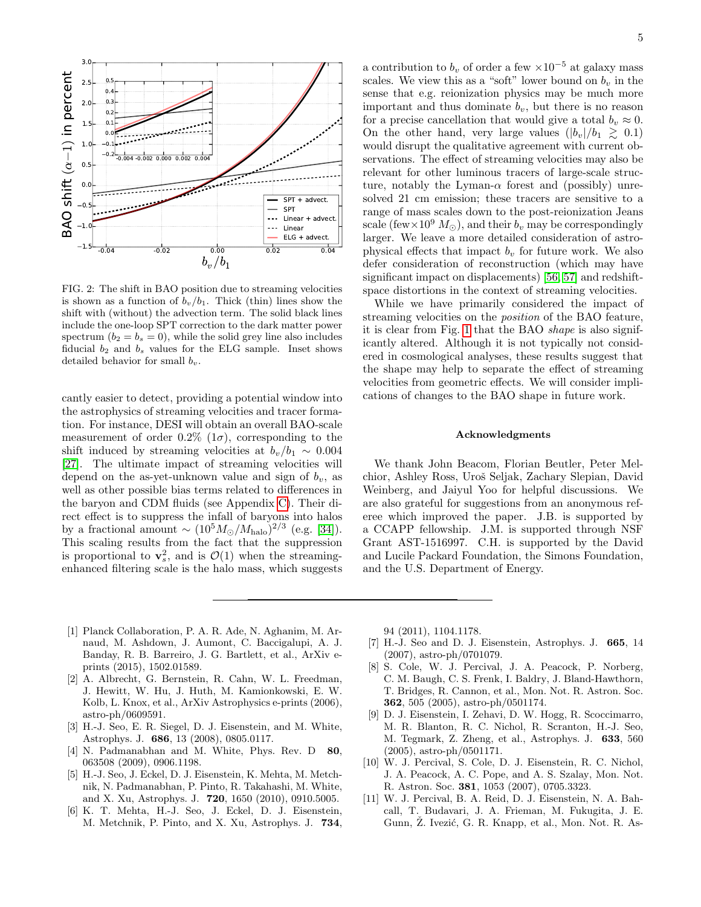

<span id="page-4-7"></span>FIG. 2: The shift in BAO position due to streaming velocities is shown as a function of  $b_v/b_1$ . Thick (thin) lines show the shift with (without) the advection term. The solid black lines include the one-loop SPT correction to the dark matter power spectrum  $(b_2 = b_s = 0)$ , while the solid grey line also includes fiducial  $b_2$  and  $b_s$  values for the ELG sample. Inset shows detailed behavior for small  $b_v$ .

cantly easier to detect, providing a potential window into the astrophysics of streaming velocities and tracer formation. For instance, DESI will obtain an overall BAO-scale measurement of order 0.2% (1 $\sigma$ ), corresponding to the shift induced by streaming velocities at  $b_v/b_1 \sim 0.004$ [\[27\]](#page-5-5). The ultimate impact of streaming velocities will depend on the as-yet-unknown value and sign of  $b_v$ , as well as other possible bias terms related to differences in the baryon and CDM fluids (see Appendix [C\)](#page-7-0). Their direct effect is to suppress the infall of baryons into halos by a fractional amount  $\sim (10^5 M_{\odot}/M_{\text{halo}})^{2/3}$  (e.g. [\[34\]](#page-5-12)). This scaling results from the fact that the suppression is proportional to  $\mathbf{v}_s^2$ , and is  $\mathcal{O}(1)$  when the streamingenhanced filtering scale is the halo mass, which suggests

a contribution to  $b_v$  of order a few  $\times 10^{-5}$  at galaxy mass scales. We view this as a "soft" lower bound on  $b_v$  in the sense that e.g. reionization physics may be much more important and thus dominate  $b_v$ , but there is no reason for a precise cancellation that would give a total  $b_v \approx 0$ . On the other hand, very large values  $(|b_v|/b_1 \geq 0.1)$ would disrupt the qualitative agreement with current observations. The effect of streaming velocities may also be relevant for other luminous tracers of large-scale structure, notably the Lyman- $\alpha$  forest and (possibly) unresolved 21 cm emission; these tracers are sensitive to a range of mass scales down to the post-reionization Jeans scale (few $\times 10^9$   $M_{\odot}$ ), and their  $b_v$  may be correspondingly larger. We leave a more detailed consideration of astrophysical effects that impact  $b_v$  for future work. We also defer consideration of reconstruction (which may have significant impact on displacements) [\[56,](#page-6-2) [57\]](#page-6-3) and redshiftspace distortions in the context of streaming velocities.

While we have primarily considered the impact of streaming velocities on the position of the BAO feature, it is clear from Fig. [1](#page-3-0) that the BAO shape is also significantly altered. Although it is not typically not considered in cosmological analyses, these results suggest that the shape may help to separate the effect of streaming velocities from geometric effects. We will consider implications of changes to the BAO shape in future work.

#### Acknowledgments

We thank John Beacom, Florian Beutler, Peter Melchior, Ashley Ross, Uroˇs Seljak, Zachary Slepian, David Weinberg, and Jaiyul Yoo for helpful discussions. We are also grateful for suggestions from an anonymous referee which improved the paper. J.B. is supported by a CCAPP fellowship. J.M. is supported through NSF Grant AST-1516997. C.H. is supported by the David and Lucile Packard Foundation, the Simons Foundation, and the U.S. Department of Energy.

- <span id="page-4-0"></span>[1] Planck Collaboration, P. A. R. Ade, N. Aghanim, M. Arnaud, M. Ashdown, J. Aumont, C. Baccigalupi, A. J. Banday, R. B. Barreiro, J. G. Bartlett, et al., ArXiv eprints (2015), 1502.01589.
- <span id="page-4-1"></span>[2] A. Albrecht, G. Bernstein, R. Cahn, W. L. Freedman, J. Hewitt, W. Hu, J. Huth, M. Kamionkowski, E. W. Kolb, L. Knox, et al., ArXiv Astrophysics e-prints (2006), astro-ph/0609591.
- <span id="page-4-8"></span>[3] H.-J. Seo, E. R. Siegel, D. J. Eisenstein, and M. White, Astrophys. J. 686, 13 (2008), 0805.0117.
- [4] N. Padmanabhan and M. White, Phys. Rev. D 80, 063508 (2009), 0906.1198.
- [5] H.-J. Seo, J. Eckel, D. J. Eisenstein, K. Mehta, M. Metchnik, N. Padmanabhan, P. Pinto, R. Takahashi, M. White, and X. Xu, Astrophys. J. 720, 1650 (2010), 0910.5005.
- <span id="page-4-2"></span>[6] K. T. Mehta, H.-J. Seo, J. Eckel, D. J. Eisenstein, M. Metchnik, P. Pinto, and X. Xu, Astrophys. J. 734,

94 (2011), 1104.1178.

- <span id="page-4-3"></span>[7] H.-J. Seo and D. J. Eisenstein, Astrophys. J. 665, 14 (2007), astro-ph/0701079.
- <span id="page-4-4"></span>[8] S. Cole, W. J. Percival, J. A. Peacock, P. Norberg, C. M. Baugh, C. S. Frenk, I. Baldry, J. Bland-Hawthorn, T. Bridges, R. Cannon, et al., Mon. Not. R. Astron. Soc. 362, 505 (2005), astro-ph/0501174.
- <span id="page-4-5"></span>[9] D. J. Eisenstein, I. Zehavi, D. W. Hogg, R. Scoccimarro, M. R. Blanton, R. C. Nichol, R. Scranton, H.-J. Seo, M. Tegmark, Z. Zheng, et al., Astrophys. J. 633, 560 (2005), astro-ph/0501171.
- <span id="page-4-6"></span>[10] W. J. Percival, S. Cole, D. J. Eisenstein, R. C. Nichol, J. A. Peacock, A. C. Pope, and A. S. Szalay, Mon. Not. R. Astron. Soc. 381, 1053 (2007), 0705.3323.
- [11] W. J. Percival, B. A. Reid, D. J. Eisenstein, N. A. Bahcall, T. Budavari, J. A. Frieman, M. Fukugita, J. E. Gunn, Z. Ivezić, G. R. Knapp, et al., Mon. Not. R. As-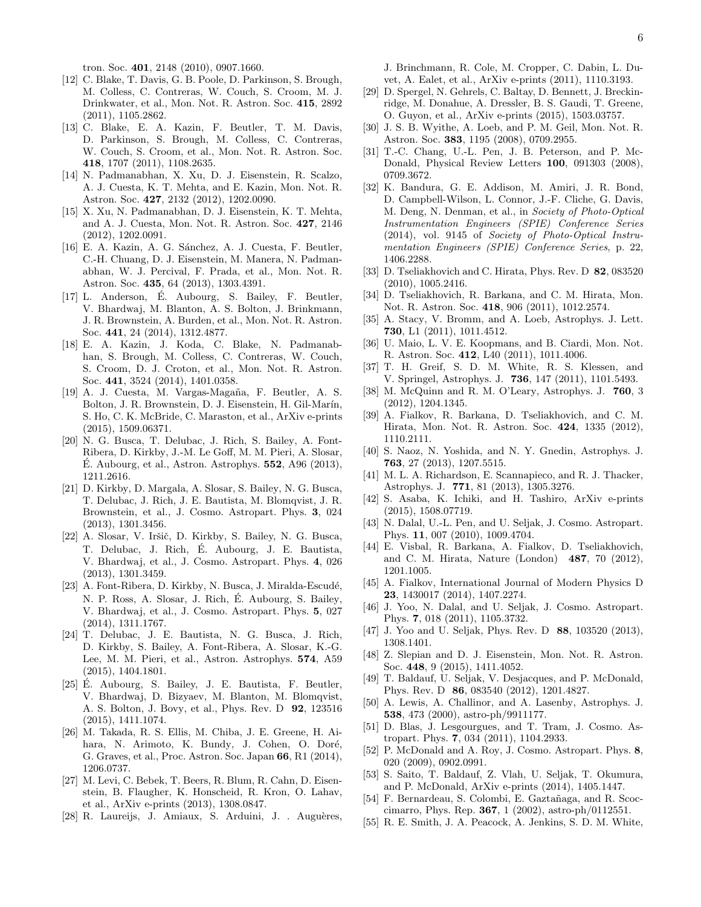tron. Soc. 401, 2148 (2010), 0907.1660.

- [12] C. Blake, T. Davis, G. B. Poole, D. Parkinson, S. Brough, M. Colless, C. Contreras, W. Couch, S. Croom, M. J. Drinkwater, et al., Mon. Not. R. Astron. Soc. 415, 2892 (2011), 1105.2862.
- [13] C. Blake, E. A. Kazin, F. Beutler, T. M. Davis, D. Parkinson, S. Brough, M. Colless, C. Contreras, W. Couch, S. Croom, et al., Mon. Not. R. Astron. Soc. 418, 1707 (2011), 1108.2635.
- [14] N. Padmanabhan, X. Xu, D. J. Eisenstein, R. Scalzo, A. J. Cuesta, K. T. Mehta, and E. Kazin, Mon. Not. R. Astron. Soc. 427, 2132 (2012), 1202.0090.
- [15] X. Xu, N. Padmanabhan, D. J. Eisenstein, K. T. Mehta, and A. J. Cuesta, Mon. Not. R. Astron. Soc. 427, 2146 (2012), 1202.0091.
- [16] E. A. Kazin, A. G. Sánchez, A. J. Cuesta, F. Beutler, C.-H. Chuang, D. J. Eisenstein, M. Manera, N. Padmanabhan, W. J. Percival, F. Prada, et al., Mon. Not. R. Astron. Soc. 435, 64 (2013), 1303.4391.
- [17] L. Anderson, E. Aubourg, S. Bailey, F. Beutler, ´ V. Bhardwaj, M. Blanton, A. S. Bolton, J. Brinkmann, J. R. Brownstein, A. Burden, et al., Mon. Not. R. Astron. Soc. 441, 24 (2014), 1312.4877.
- [18] E. A. Kazin, J. Koda, C. Blake, N. Padmanabhan, S. Brough, M. Colless, C. Contreras, W. Couch, S. Croom, D. J. Croton, et al., Mon. Not. R. Astron. Soc. 441, 3524 (2014), 1401.0358.
- <span id="page-5-0"></span>[19] A. J. Cuesta, M. Vargas-Magaña, F. Beutler, A. S. Bolton, J. R. Brownstein, D. J. Eisenstein, H. Gil-Marín, S. Ho, C. K. McBride, C. Maraston, et al., ArXiv e-prints (2015), 1509.06371.
- <span id="page-5-1"></span>[20] N. G. Busca, T. Delubac, J. Rich, S. Bailey, A. Font-Ribera, D. Kirkby, J.-M. Le Goff, M. M. Pieri, A. Slosar, E. Aubourg, et al., Astron. Astrophys.  $552$ , A96 (2013), 1211.2616.
- [21] D. Kirkby, D. Margala, A. Slosar, S. Bailey, N. G. Busca, T. Delubac, J. Rich, J. E. Bautista, M. Blomqvist, J. R. Brownstein, et al., J. Cosmo. Astropart. Phys. 3, 024 (2013), 1301.3456.
- [22] A. Slosar, V. Iršič, D. Kirkby, S. Bailey, N. G. Busca, T. Delubac, J. Rich, E. Aubourg, J. E. Bautista, ´ V. Bhardwaj, et al., J. Cosmo. Astropart. Phys. 4, 026 (2013), 1301.3459.
- [23] A. Font-Ribera, D. Kirkby, N. Busca, J. Miralda-Escudé, N. P. Ross, A. Slosar, J. Rich, E. Aubourg, S. Bailey, ´ V. Bhardwaj, et al., J. Cosmo. Astropart. Phys. 5, 027 (2014), 1311.1767.
- <span id="page-5-2"></span>[24] T. Delubac, J. E. Bautista, N. G. Busca, J. Rich, D. Kirkby, S. Bailey, A. Font-Ribera, A. Slosar, K.-G. Lee, M. M. Pieri, et al., Astron. Astrophys. 574, A59 (2015), 1404.1801.
- <span id="page-5-3"></span>[25] E. Aubourg, S. Bailey, J. E. Bautista, F. Beutler, ´ V. Bhardwaj, D. Bizyaev, M. Blanton, M. Blomqvist, A. S. Bolton, J. Bovy, et al., Phys. Rev. D 92, 123516 (2015), 1411.1074.
- <span id="page-5-4"></span>[26] M. Takada, R. S. Ellis, M. Chiba, J. E. Greene, H. Aihara, N. Arimoto, K. Bundy, J. Cohen, O. Doré, G. Graves, et al., Proc. Astron. Soc. Japan 66, R1 (2014), 1206.0737.
- <span id="page-5-5"></span>[27] M. Levi, C. Bebek, T. Beers, R. Blum, R. Cahn, D. Eisenstein, B. Flaugher, K. Honscheid, R. Kron, O. Lahav, et al., ArXiv e-prints (2013), 1308.0847.
- <span id="page-5-6"></span>[28] R. Laureijs, J. Amiaux, S. Arduini, J. . Auguères,

J. Brinchmann, R. Cole, M. Cropper, C. Dabin, L. Duvet, A. Ealet, et al., ArXiv e-prints (2011), 1110.3193.

- <span id="page-5-7"></span>[29] D. Spergel, N. Gehrels, C. Baltay, D. Bennett, J. Breckinridge, M. Donahue, A. Dressler, B. S. Gaudi, T. Greene, O. Guyon, et al., ArXiv e-prints (2015), 1503.03757.
- <span id="page-5-8"></span>[30] J. S. B. Wyithe, A. Loeb, and P. M. Geil, Mon. Not. R. Astron. Soc. 383, 1195 (2008), 0709.2955.
- <span id="page-5-9"></span>[31] T.-C. Chang, U.-L. Pen, J. B. Peterson, and P. Mc-Donald, Physical Review Letters 100, 091303 (2008), 0709.3672.
- <span id="page-5-10"></span>[32] K. Bandura, G. E. Addison, M. Amiri, J. R. Bond, D. Campbell-Wilson, L. Connor, J.-F. Cliche, G. Davis, M. Deng, N. Denman, et al., in Society of Photo-Optical Instrumentation Engineers (SPIE) Conference Series (2014), vol. 9145 of Society of Photo-Optical Instrumentation Engineers (SPIE) Conference Series, p. 22, 1406.2288.
- <span id="page-5-11"></span>[33] D. Tseliakhovich and C. Hirata, Phys. Rev. D 82, 083520 (2010), 1005.2416.
- <span id="page-5-12"></span>[34] D. Tseliakhovich, R. Barkana, and C. M. Hirata, Mon. Not. R. Astron. Soc. 418, 906 (2011), 1012.2574.
- <span id="page-5-13"></span>[35] A. Stacy, V. Bromm, and A. Loeb, Astrophys. J. Lett. 730, L1 (2011), 1011.4512.
- [36] U. Maio, L. V. E. Koopmans, and B. Ciardi, Mon. Not. R. Astron. Soc. 412, L40 (2011), 1011.4006.
- [37] T. H. Greif, S. D. M. White, R. S. Klessen, and V. Springel, Astrophys. J. 736, 147 (2011), 1101.5493.
- <span id="page-5-16"></span>[38] M. McQuinn and R. M. O'Leary, Astrophys. J. 760, 3 (2012), 1204.1345.
- [39] A. Fialkov, R. Barkana, D. Tseliakhovich, and C. M. Hirata, Mon. Not. R. Astron. Soc. 424, 1335 (2012), 1110.2111.
- [40] S. Naoz, N. Yoshida, and N. Y. Gnedin, Astrophys. J. 763, 27 (2013), 1207.5515.
- [41] M. L. A. Richardson, E. Scannapieco, and R. J. Thacker, Astrophys. J. 771, 81 (2013), 1305.3276.
- <span id="page-5-14"></span>[42] S. Asaba, K. Ichiki, and H. Tashiro, ArXiv e-prints (2015), 1508.07719.
- <span id="page-5-15"></span>[43] N. Dalal, U.-L. Pen, and U. Seljak, J. Cosmo. Astropart. Phys. 11, 007 (2010), 1009.4704.
- <span id="page-5-17"></span>[44] E. Visbal, R. Barkana, A. Fialkov, D. Tseliakhovich, and C. M. Hirata, Nature (London) 487, 70 (2012), 1201.1005.
- <span id="page-5-18"></span>[45] A. Fialkov, International Journal of Modern Physics D 23, 1430017 (2014), 1407.2274.
- <span id="page-5-19"></span>[46] J. Yoo, N. Dalal, and U. Seljak, J. Cosmo. Astropart. Phys. 7, 018 (2011), 1105.3732.
- <span id="page-5-22"></span>[47] J. Yoo and U. Seljak, Phys. Rev. D 88, 103520 (2013), 1308.1401.
- <span id="page-5-20"></span>[48] Z. Slepian and D. J. Eisenstein, Mon. Not. R. Astron. Soc. 448, 9 (2015), 1411.4052.
- <span id="page-5-21"></span>[49] T. Baldauf, U. Seljak, V. Desjacques, and P. McDonald, Phys. Rev. D 86, 083540 (2012), 1201.4827.
- <span id="page-5-23"></span>[50] A. Lewis, A. Challinor, and A. Lasenby, Astrophys. J. 538, 473 (2000), astro-ph/9911177.
- <span id="page-5-24"></span>[51] D. Blas, J. Lesgourgues, and T. Tram, J. Cosmo. Astropart. Phys. 7, 034 (2011), 1104.2933.
- <span id="page-5-25"></span>[52] P. McDonald and A. Roy, J. Cosmo. Astropart. Phys. 8, 020 (2009), 0902.0991.
- <span id="page-5-26"></span>[53] S. Saito, T. Baldauf, Z. Vlah, U. Seljak, T. Okumura, and P. McDonald, ArXiv e-prints (2014), 1405.1447.
- <span id="page-5-27"></span>[54] F. Bernardeau, S. Colombi, E. Gaztañaga, and R. Scoccimarro, Phys. Rep. 367, 1 (2002), astro-ph/0112551.
- <span id="page-5-28"></span>[55] R. E. Smith, J. A. Peacock, A. Jenkins, S. D. M. White,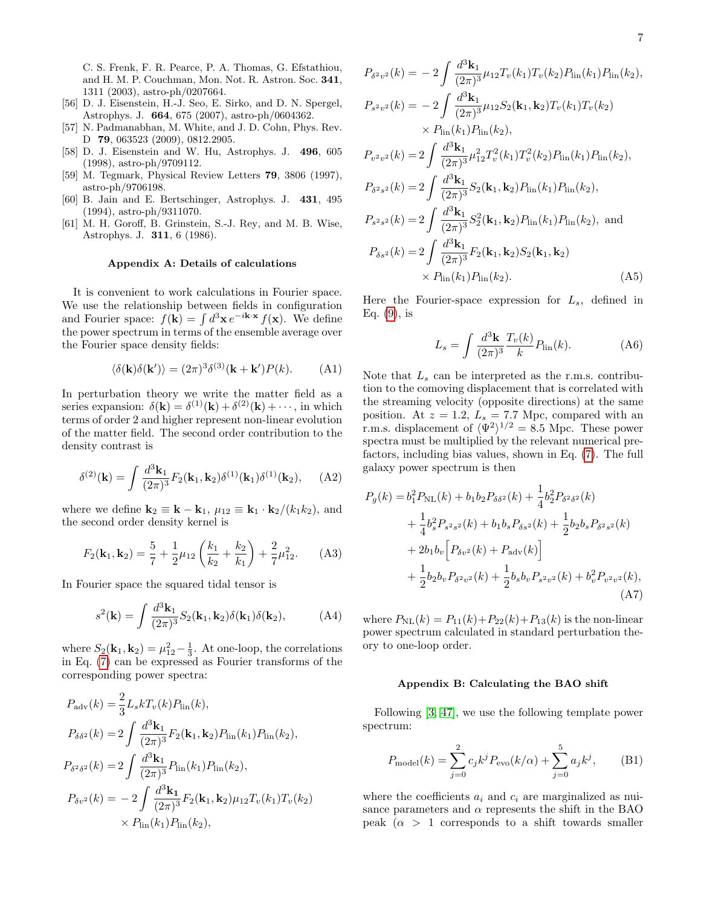- <span id="page-6-2"></span>[56] D. J. Eisenstein, H.-J. Seo, E. Sirko, and D. N. Spergel, Astrophys. J. 664, 675 (2007), astro-ph/0604362.
- <span id="page-6-3"></span>[57] N. Padmanabhan, M. White, and J. D. Cohn, Phys. Rev. D 79, 063523 (2009), 0812.2905.
- <span id="page-6-4"></span>[58] D. J. Eisenstein and W. Hu, Astrophys. J. 496, 605 (1998), astro-ph/9709112.
- <span id="page-6-6"></span>[59] M. Tegmark, Physical Review Letters 79, 3806 (1997), astro-ph/9706198.
- <span id="page-6-7"></span>[60] B. Jain and E. Bertschinger, Astrophys. J. 431, 495 (1994), astro-ph/9311070.
- <span id="page-6-8"></span>[61] M. H. Goroff, B. Grinstein, S.-J. Rey, and M. B. Wise, Astrophys. J. 311, 6 (1986).

### <span id="page-6-0"></span>Appendix A: Details of calculations

It is convenient to work calculations in Fourier space. We use the relationship between fields in configuration and Fourier space:  $f(\mathbf{k}) = \int d^3\mathbf{x} e^{-i\mathbf{k}\cdot\mathbf{x}} f(\mathbf{x})$ . We define the power spectrum in terms of the ensemble average over the Fourier space density fields:

$$
\langle \delta(\mathbf{k})\delta(\mathbf{k}') \rangle = (2\pi)^3 \delta^{(3)}(\mathbf{k} + \mathbf{k}')P(k). \tag{A1}
$$

In perturbation theory we write the matter field as a series expansion:  $\delta(\mathbf{k}) = \delta^{(1)}(\mathbf{k}) + \delta^{(2)}(\mathbf{k}) + \cdots$ , in which terms of order 2 and higher represent non-linear evolution of the matter field. The second order contribution to the density contrast is

$$
\delta^{(2)}(\mathbf{k}) = \int \frac{d^3 \mathbf{k}_1}{(2\pi)^3} F_2(\mathbf{k}_1, \mathbf{k}_2) \delta^{(1)}(\mathbf{k}_1) \delta^{(1)}(\mathbf{k}_2), \quad (A2)
$$

where we define  $\mathbf{k}_2 \equiv \mathbf{k} - \mathbf{k}_1$ ,  $\mu_{12} \equiv \mathbf{k}_1 \cdot \mathbf{k}_2/(k_1 k_2)$ , and the second order density kernel is

$$
F_2(\mathbf{k}_1, \mathbf{k}_2) = \frac{5}{7} + \frac{1}{2}\mu_{12}\left(\frac{k_1}{k_2} + \frac{k_2}{k_1}\right) + \frac{2}{7}\mu_{12}^2. \tag{A3}
$$

In Fourier space the squared tidal tensor is

$$
s^{2}(\mathbf{k}) = \int \frac{d^{3}\mathbf{k}_{1}}{(2\pi)^{3}} S_{2}(\mathbf{k}_{1}, \mathbf{k}_{2}) \delta(\mathbf{k}_{1}) \delta(\mathbf{k}_{2}), \tag{A4}
$$

where  $S_2(\mathbf{k}_1, \mathbf{k}_2) = \mu_{12}^2 - \frac{1}{3}$ . At one-loop, the correlations in Eq. [\(7\)](#page-2-1) can be expressed as Fourier transforms of the corresponding power spectra:

$$
P_{\text{adv}}(k) = \frac{2}{3} L_s k T_v(k) P_{\text{lin}}(k),
$$
  
\n
$$
P_{\delta \delta^2}(k) = 2 \int \frac{d^3 \mathbf{k}_1}{(2\pi)^3} F_2(\mathbf{k}_1, \mathbf{k}_2) P_{\text{lin}}(k_1) P_{\text{lin}}(k_2),
$$
  
\n
$$
P_{\delta^2 \delta^2}(k) = 2 \int \frac{d^3 \mathbf{k}_1}{(2\pi)^3} P_{\text{lin}}(k_1) P_{\text{lin}}(k_2),
$$
  
\n
$$
P_{\delta v^2}(k) = -2 \int \frac{d^3 \mathbf{k}_1}{(2\pi)^3} F_2(\mathbf{k}_1, \mathbf{k}_2) \mu_{12} T_v(k_1) T_v(k_2)
$$
  
\n
$$
\times P_{\text{lin}}(k_1) P_{\text{lin}}(k_2),
$$

$$
P_{\delta^2 v^2}(k) = -2 \int \frac{d^3 \mathbf{k}_1}{(2\pi)^3} \mu_{12} T_v(k_1) T_v(k_2) P_{\text{lin}}(k_1) P_{\text{lin}}(k_2),
$$
  
\n
$$
P_{s^2 v^2}(k) = -2 \int \frac{d^3 \mathbf{k}_1}{(2\pi)^3} \mu_{12} S_2(\mathbf{k}_1, \mathbf{k}_2) T_v(k_1) T_v(k_2)
$$
  
\n
$$
\times P_{\text{lin}}(k_1) P_{\text{lin}}(k_2),
$$
  
\n
$$
P_{v^2 v^2}(k) = 2 \int \frac{d^3 \mathbf{k}_1}{(2\pi)^3} \mu_{12}^2 T_v^2(k_1) T_v^2(k_2) P_{\text{lin}}(k_1) P_{\text{lin}}(k_2),
$$
  
\n
$$
P_{\delta^2 s^2}(k) = 2 \int \frac{d^3 \mathbf{k}_1}{(2\pi)^3} S_2(\mathbf{k}_1, \mathbf{k}_2) P_{\text{lin}}(k_1) P_{\text{lin}}(k_2),
$$
  
\n
$$
P_{s^2 s^2}(k) = 2 \int \frac{d^3 \mathbf{k}_1}{(2\pi)^3} S_2^2(\mathbf{k}_1, \mathbf{k}_2) P_{\text{lin}}(k_1) P_{\text{lin}}(k_2),
$$
and  
\n
$$
P_{\delta s^2}(k) = 2 \int \frac{d^3 \mathbf{k}_1}{(2\pi)^3} F_2(\mathbf{k}_1, \mathbf{k}_2) S_2(\mathbf{k}_1, \mathbf{k}_2)
$$
  
\n
$$
\times P_{\text{lin}}(k_1) P_{\text{lin}}(k_2).
$$
 (A5)

Here the Fourier-space expression for  $L_s$ , defined in Eq.  $(9)$ , is

<span id="page-6-10"></span><span id="page-6-9"></span>
$$
L_s = \int \frac{d^3 \mathbf{k}}{(2\pi)^3} \frac{T_v(k)}{k} P_{\text{lin}}(k). \tag{A6}
$$

Note that  $L_s$  can be interpreted as the r.m.s. contribution to the comoving displacement that is correlated with the streaming velocity (opposite directions) at the same position. At  $z = 1.2$ ,  $L_s = 7.7$  Mpc, compared with an r.m.s. displacement of  $\langle \Psi^2 \rangle^{1/2} = 8.5$  Mpc. These power spectra must be multiplied by the relevant numerical prefactors, including bias values, shown in Eq. [\(7\)](#page-2-1). The full galaxy power spectrum is then

$$
P_g(k) = b_1^2 P_{\rm NL}(k) + b_1 b_2 P_{\delta \delta^2}(k) + \frac{1}{4} b_2^2 P_{\delta^2 \delta^2}(k) + \frac{1}{4} b_s^2 P_{s^2 s^2}(k) + b_1 b_s P_{\delta s^2}(k) + \frac{1}{2} b_2 b_s P_{\delta^2 s^2}(k) + 2b_1 b_v \left[ P_{\delta v^2}(k) + P_{\rm adv}(k) \right] + \frac{1}{2} b_2 b_v P_{\delta^2 v^2}(k) + \frac{1}{2} b_s b_v P_{s^2 v^2}(k) + b_v^2 P_{v^2 v^2}(k),
$$
\n(A7)

where  $P_{\text{NL}}(k) = P_{11}(k) + P_{22}(k) + P_{13}(k)$  is the non-linear power spectrum calculated in standard perturbation theory to one-loop order.

#### <span id="page-6-5"></span><span id="page-6-1"></span>Appendix B: Calculating the BAO shift

Following [\[3,](#page-4-8) [47\]](#page-5-22), we use the following template power spectrum:

$$
P_{\text{model}}(k) = \sum_{j=0}^{2} c_j k^j P_{\text{evo}}(k/\alpha) + \sum_{j=0}^{5} a_j k^j, \quad \text{(B1)}
$$

where the coefficients  $a_i$  and  $c_i$  are marginalized as nuisance parameters and  $\alpha$  represents the shift in the BAO peak  $(\alpha > 1$  corresponds to a shift towards smaller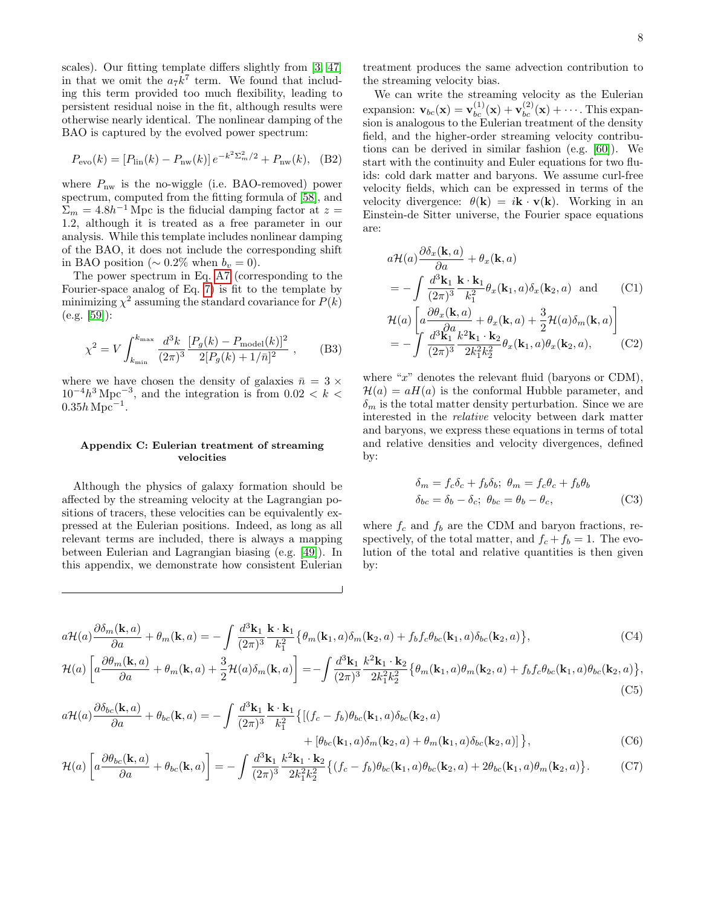scales). Our fitting template differs slightly from [\[3,](#page-4-8) [47\]](#page-5-22) in that we omit the  $a_7k^7$  term. We found that including this term provided too much flexibility, leading to persistent residual noise in the fit, although results were otherwise nearly identical. The nonlinear damping of the BAO is captured by the evolved power spectrum:

$$
P_{\rm evo}(k) = [P_{\rm lin}(k) - P_{\rm nw}(k)] e^{-k^2 \Sigma_m^2/2} + P_{\rm nw}(k), \quad (B2)
$$

where  $P_{\text{nw}}$  is the no-wiggle (i.e. BAO-removed) power spectrum, computed from the fitting formula of [\[58\]](#page-6-4), and  $\Sigma_m = 4.8h^{-1}$  Mpc is the fiducial damping factor at  $z =$ 1.2, although it is treated as a free parameter in our analysis. While this template includes nonlinear damping of the BAO, it does not include the corresponding shift in BAO position ( $\sim 0.2\%$  when  $b_v = 0$ ).

The power spectrum in Eq. [A7](#page-6-5) (corresponding to the Fourier-space analog of Eq. [7\)](#page-2-1) is fit to the template by minimizing  $\chi^2$  assuming the standard covariance for  $P(k)$ (e.g. [\[59\]](#page-6-6)):

$$
\chi^2 = V \int_{k_{\rm min}}^{k_{\rm max}} \frac{d^3k}{(2\pi)^3} \frac{[P_g(k) - P_{\rm model}(k)]^2}{2[P_g(k) + 1/\bar{n}]^2} ,\qquad (B3)
$$

where we have chosen the density of galaxies  $\bar{n} = 3 \times$  $10^{-4}h^3$  Mpc<sup>-3</sup>, and the integration is from  $0.02 < k <$  $0.35h\,\mathrm{Mpc}^{-1}$ .

## <span id="page-7-0"></span>Appendix C: Eulerian treatment of streaming velocities

Although the physics of galaxy formation should be affected by the streaming velocity at the Lagrangian positions of tracers, these velocities can be equivalently expressed at the Eulerian positions. Indeed, as long as all relevant terms are included, there is always a mapping between Eulerian and Lagrangian biasing (e.g. [\[49\]](#page-5-21)). In this appendix, we demonstrate how consistent Eulerian treatment produces the same advection contribution to the streaming velocity bias.

We can write the streaming velocity as the Eulerian expansion:  $\mathbf{v}_{bc}(\mathbf{x}) = \mathbf{v}_{bc}^{(1)}(\mathbf{x}) + \mathbf{v}_{bc}^{(2)}(\mathbf{x}) + \cdots$ . This expansion is analogous to the Eulerian treatment of the density field, and the higher-order streaming velocity contributions can be derived in similar fashion (e.g. [\[60\]](#page-6-7)). We start with the continuity and Euler equations for two fluids: cold dark matter and baryons. We assume curl-free velocity fields, which can be expressed in terms of the velocity divergence:  $\theta(\mathbf{k}) = i\mathbf{k} \cdot \mathbf{v}(\mathbf{k})$ . Working in an Einstein-de Sitter universe, the Fourier space equations are:

$$
a\mathcal{H}(a)\frac{\partial \delta_x(\mathbf{k},a)}{\partial a} + \theta_x(\mathbf{k},a)
$$
  
= 
$$
-\int \frac{d^3\mathbf{k}_1}{(2\pi)^3} \frac{\mathbf{k} \cdot \mathbf{k}_1}{k_1^2} \theta_x(\mathbf{k}_1,a) \delta_x(\mathbf{k}_2,a) \text{ and } \qquad (C1)
$$
  

$$
\mathcal{H}(a)\left[a\frac{\partial \theta_x(\mathbf{k},a)}{\partial a} + \theta_x(\mathbf{k},a) + \frac{3}{2}\mathcal{H}(a)\delta_m(\mathbf{k},a)\right]
$$
  
= 
$$
-\int \frac{d^3\mathbf{k}_1}{(2\pi)^3} \frac{k^2\mathbf{k}_1 \cdot \mathbf{k}_2}{2k_1^2 k_2^2} \theta_x(\mathbf{k}_1,a) \theta_x(\mathbf{k}_2,a), \qquad (C2)
$$

where " $x$ " denotes the relevant fluid (baryons or CDM),  $\mathcal{H}(a) = aH(a)$  is the conformal Hubble parameter, and  $\delta_m$  is the total matter density perturbation. Since we are interested in the relative velocity between dark matter and baryons, we express these equations in terms of total and relative densities and velocity divergences, defined by:

<span id="page-7-1"></span>
$$
\delta_m = f_c \delta_c + f_b \delta_b; \ \theta_m = f_c \theta_c + f_b \theta_b
$$

$$
\delta_{bc} = \delta_b - \delta_c; \ \theta_{bc} = \theta_b - \theta_c,
$$
 (C3)

where  $f_c$  and  $f_b$  are the CDM and baryon fractions, respectively, of the total matter, and  $f_c + f_b = 1$ . The evolution of the total and relative quantities is then given by:

$$
a\mathcal{H}(a)\frac{\partial\delta_m(\mathbf{k},a)}{\partial a} + \theta_m(\mathbf{k},a) = -\int \frac{d^3\mathbf{k}_1}{(2\pi)^3} \frac{\mathbf{k}\cdot\mathbf{k}_1}{k_1^2} \left\{\theta_m(\mathbf{k}_1,a)\delta_m(\mathbf{k}_2,a) + f_b f_c \theta_{bc}(\mathbf{k}_1,a)\delta_{bc}(\mathbf{k}_2,a)\right\},\tag{C4}
$$

$$
\mathcal{H}(a)\left[a\frac{\partial\theta_m(\mathbf{k},a)}{\partial a} + \theta_m(\mathbf{k},a) + \frac{3}{2}\mathcal{H}(a)\delta_m(\mathbf{k},a)\right] = -\int \frac{d^3\mathbf{k}_1}{(2\pi)^3} \frac{k^2\mathbf{k}_1 \cdot \mathbf{k}_2}{2k_1^2 k_2^2} \left\{\theta_m(\mathbf{k}_1,a)\theta_m(\mathbf{k}_2,a) + f_b f_c \theta_{bc}(\mathbf{k}_1,a)\theta_{bc}(\mathbf{k}_2,a)\right\},\tag{C5}
$$

$$
a\mathcal{H}(a)\frac{\partial\delta_{bc}(\mathbf{k},a)}{\partial a} + \theta_{bc}(\mathbf{k},a) = -\int \frac{d^3\mathbf{k}_1}{(2\pi)^3} \frac{\mathbf{k} \cdot \mathbf{k}_1}{k_1^2} \{[(f_c - f_b)\theta_{bc}(\mathbf{k}_1, a)\delta_{bc}(\mathbf{k}_2, a) + [\theta_{bc}(\mathbf{k}_1, a)\delta_{ac}(\mathbf{k}_2, a) + \theta_m(\mathbf{k}_1, a)\delta_{bc}(\mathbf{k}_2, a)]\},\tag{C6}
$$

$$
\mathcal{H}(a)\left[a\frac{\partial\theta_{bc}(\mathbf{k},a)}{\partial a} + \theta_{bc}(\mathbf{k},a)\right] = -\int \frac{d^3\mathbf{k}_1}{(2\pi)^3} \frac{k^2\mathbf{k}_1 \cdot \mathbf{k}_2}{2k_1^2 k_2^2} \left\{ (f_c - f_b)\theta_{bc}(\mathbf{k}_1,a)\theta_{bc}(\mathbf{k}_2,a) + 2\theta_{bc}(\mathbf{k}_1,a)\theta_m(\mathbf{k}_2,a) \right\}.
$$
 (C7)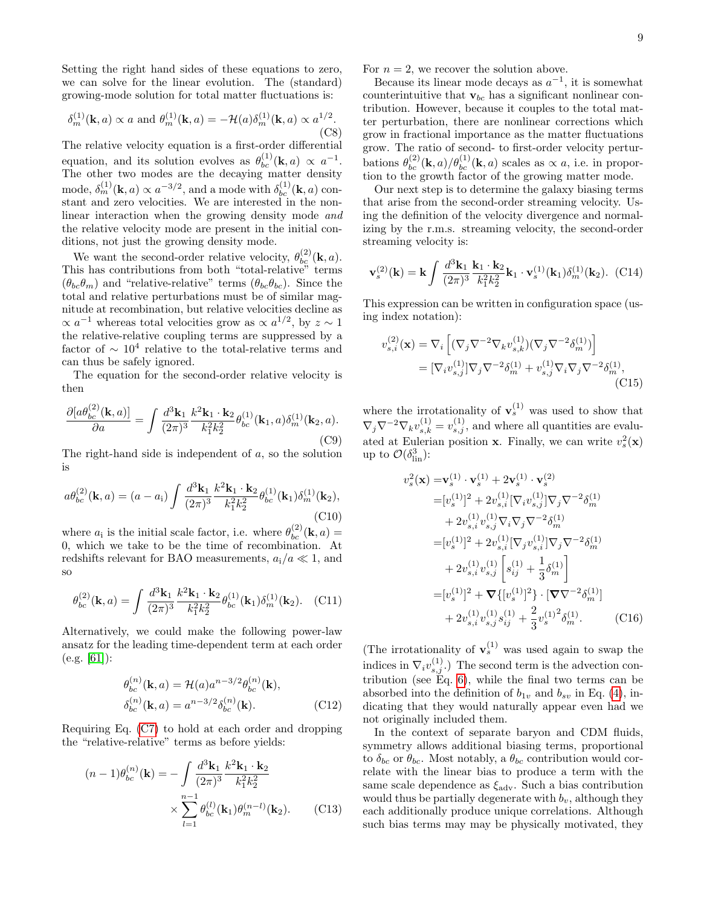Setting the right hand sides of these equations to zero, we can solve for the linear evolution. The (standard) growing-mode solution for total matter fluctuations is:

$$
\delta_m^{(1)}(\mathbf{k}, a) \propto a \text{ and } \theta_m^{(1)}(\mathbf{k}, a) = -\mathcal{H}(a)\delta_m^{(1)}(\mathbf{k}, a) \propto a^{1/2}.
$$
\n(C8)

The relative velocity equation is a first-order differential equation, and its solution evolves as  $\theta_{bc}^{(1)}(\mathbf{k},a) \propto a^{-1}$ . The other two modes are the decaying matter density mode,  $\delta_m^{(1)}(\mathbf{k}, a) \propto a^{-3/2}$ , and a mode with  $\delta_{bc}^{(1)}(\mathbf{k}, a)$  constant and zero velocities. We are interested in the nonlinear interaction when the growing density mode and the relative velocity mode are present in the initial conditions, not just the growing density mode.

We want the second-order relative velocity,  $\theta_{bc}^{(2)}(\mathbf{k}, a)$ . This has contributions from both "total-relative" terms  $(\theta_{bc}\theta_m)$  and "relative-relative" terms  $(\theta_{bc}\theta_{bc})$ . Since the total and relative perturbations must be of similar magnitude at recombination, but relative velocities decline as  $\propto a^{-1}$  whereas total velocities grow as  $\propto a^{1/2}$ , by  $z \sim 1$ the relative-relative coupling terms are suppressed by a factor of  $\sim 10^4$  relative to the total-relative terms and can thus be safely ignored.

The equation for the second-order relative velocity is then

$$
\frac{\partial [a\theta_{bc}^{(2)}(\mathbf{k},a)]}{\partial a} = \int \frac{d^3 \mathbf{k}_1}{(2\pi)^3} \frac{k^2 \mathbf{k}_1 \cdot \mathbf{k}_2}{k_1^2 k_2^2} \theta_{bc}^{(1)}(\mathbf{k}_1, a) \delta_m^{(1)}(\mathbf{k}_2, a). \tag{C9}
$$

The right-hand side is independent of a, so the solution is

$$
a\theta_{bc}^{(2)}(\mathbf{k},a) = (a - a_1) \int \frac{d^3 \mathbf{k}_1}{(2\pi)^3} \frac{k^2 \mathbf{k}_1 \cdot \mathbf{k}_2}{k_1^2 k_2^2} \theta_{bc}^{(1)}(\mathbf{k}_1) \delta_m^{(1)}(\mathbf{k}_2),
$$
\n(C10)

where  $a_i$  is the initial scale factor, i.e. where  $\theta_{bc}^{(2)}(\mathbf{k}, a) =$ 0, which we take to be the time of recombination. At redshifts relevant for BAO measurements,  $a_i/a \ll 1$ , and so

$$
\theta_{bc}^{(2)}(\mathbf{k},a) = \int \frac{d^3 \mathbf{k}_1}{(2\pi)^3} \frac{k^2 \mathbf{k}_1 \cdot \mathbf{k}_2}{k_1^2 k_2^2} \theta_{bc}^{(1)}(\mathbf{k}_1) \delta_m^{(1)}(\mathbf{k}_2).
$$
 (C11)

Alternatively, we could make the following power-law ansatz for the leading time-dependent term at each order  $(e.g. |61|):$ 

$$
\theta_{bc}^{(n)}(\mathbf{k}, a) = \mathcal{H}(a)a^{n-3/2}\theta_{bc}^{(n)}(\mathbf{k}),
$$
  
\n
$$
\delta_{bc}^{(n)}(\mathbf{k}, a) = a^{n-3/2}\delta_{bc}^{(n)}(\mathbf{k}).
$$
\n(C12)

Requiring Eq. [\(C7\)](#page-7-1) to hold at each order and dropping the "relative-relative" terms as before yields:

$$
(n-1)\theta_{bc}^{(n)}(\mathbf{k}) = -\int \frac{d^3 \mathbf{k}_1}{(2\pi)^3} \frac{k^2 \mathbf{k}_1 \cdot \mathbf{k}_2}{k_1^2 k_2^2}
$$

$$
\times \sum_{l=1}^{n-1} \theta_{bc}^{(l)}(\mathbf{k}_1) \theta_m^{(n-l)}(\mathbf{k}_2). \tag{C13}
$$

For  $n = 2$ , we recover the solution above.

Because its linear mode decays as  $a^{-1}$ , it is somewhat counterintuitive that  $v_{bc}$  has a significant nonlinear contribution. However, because it couples to the total matter perturbation, there are nonlinear corrections which grow in fractional importance as the matter fluctuations grow. The ratio of second- to first-order velocity perturbations  $\theta_{bc}^{(2)}(\mathbf{k},a)/\theta_{bc}^{(1)}(\mathbf{k},a)$  scales as  $\propto a$ , i.e. in proportion to the growth factor of the growing matter mode.

Our next step is to determine the galaxy biasing terms that arise from the second-order streaming velocity. Using the definition of the velocity divergence and normalizing by the r.m.s. streaming velocity, the second-order streaming velocity is:

$$
\mathbf{v}_s^{(2)}(\mathbf{k}) = \mathbf{k} \int \frac{d^3 \mathbf{k}_1}{(2\pi)^3} \frac{\mathbf{k}_1 \cdot \mathbf{k}_2}{k_1^2 k_2^2} \mathbf{k}_1 \cdot \mathbf{v}_s^{(1)}(\mathbf{k}_1) \delta_m^{(1)}(\mathbf{k}_2). \tag{C14}
$$

This expression can be written in configuration space (using index notation):

$$
v_{s,i}^{(2)}(\mathbf{x}) = \nabla_i \left[ (\nabla_j \nabla^{-2} \nabla_k v_{s,k}^{(1)}) (\nabla_j \nabla^{-2} \delta_m^{(1)}) \right]
$$
  
=\n
$$
[\nabla_i v_{s,j}^{(1)}] \nabla_j \nabla^{-2} \delta_m^{(1)} + v_{s,j}^{(1)} \nabla_i \nabla_j \nabla^{-2} \delta_m^{(1)},
$$
\n(C15)

where the irrotationality of  $\mathbf{v}_s^{(1)}$  was used to show that  $\nabla_j \nabla^{-2} \nabla_k v_{s,k}^{(1)} = v_{s,j}^{(1)}$ , and where all quantities are evaluated at Eulerian position **x**. Finally, we can write  $v_s^2(\mathbf{x})$ up to  $\mathcal{O}(\delta_{\textrm{lin}}^3)$ :

$$
v_s^2(\mathbf{x}) = \mathbf{v}_s^{(1)} \cdot \mathbf{v}_s^{(1)} + 2\mathbf{v}_s^{(1)} \cdot \mathbf{v}_s^{(2)}
$$
  
\n
$$
= [v_s^{(1)}]^2 + 2v_{s,i}^{(1)} [\nabla_i v_{s,j}^{(1)}] \nabla_j \nabla^{-2} \delta_m^{(1)}
$$
  
\n
$$
+ 2v_{s,i}^{(1)} v_{s,j}^{(1)} \nabla_i \nabla_j \nabla^{-2} \delta_m^{(1)}
$$
  
\n
$$
= [v_s^{(1)}]^2 + 2v_{s,i}^{(1)} [\nabla_j v_{s,i}^{(1)}] \nabla_j \nabla^{-2} \delta_m^{(1)}
$$
  
\n
$$
+ 2v_{s,i}^{(1)} v_{s,j}^{(1)} \left[ s_{ij}^{(1)} + \frac{1}{3} \delta_m^{(1)} \right]
$$
  
\n
$$
= [v_s^{(1)}]^2 + \nabla \{ [v_s^{(1)}]^2 \} \cdot [\nabla \nabla^{-2} \delta_m^{(1)}]
$$
  
\n
$$
+ 2v_{s,i}^{(1)} v_{s,j}^{(1)} s_{ij}^{(1)} + \frac{2}{3} v_s^{(1)}^2 \delta_m^{(1)}.
$$
 (C16)

(The irrotationality of  $\mathbf{v}_s^{(1)}$  was used again to swap the indices in  $\nabla_i v_{s,j}^{(1)}$ .) The second term is the advection contribution (see  $Eq. 6$ ), while the final two terms can be absorbed into the definition of  $b_{1v}$  and  $b_{sv}$  in Eq. [\(4\)](#page-2-0), indicating that they would naturally appear even had we not originally included them.

<span id="page-8-0"></span>In the context of separate baryon and CDM fluids, symmetry allows additional biasing terms, proportional to  $\delta_{bc}$  or  $\theta_{bc}$ . Most notably, a  $\theta_{bc}$  contribution would correlate with the linear bias to produce a term with the same scale dependence as  $\xi_{\text{adv}}$ . Such a bias contribution would thus be partially degenerate with  $b_v$ , although they each additionally produce unique correlations. Although such bias terms may may be physically motivated, they